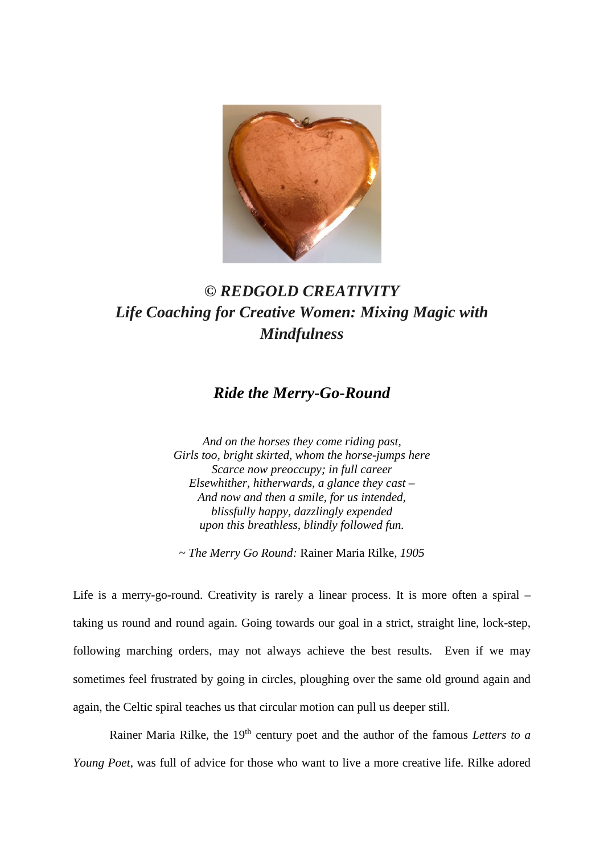

## *© REDGOLD CREATIVITY Life Coaching for Creative Women: Mixing Magic with Mindfulness*

## *Ride the Merry-Go-Round*

*And on the horses they come riding past, Girls too, bright skirted, whom the horse-jumps here Scarce now preoccupy; in full career Elsewhither, hitherwards, a glance they cast – And now and then a smile, for us intended, blissfully happy, dazzlingly expended upon this breathless, blindly followed fun.*

*~ The Merry Go Round:* Rainer Maria Rilke*, 1905*

Life is a merry-go-round. Creativity is rarely a linear process. It is more often a spiral – taking us round and round again. Going towards our goal in a strict, straight line, lock-step, following marching orders, may not always achieve the best results. Even if we may sometimes feel frustrated by going in circles, ploughing over the same old ground again and again, the Celtic spiral teaches us that circular motion can pull us deeper still.

Rainer Maria Rilke, the 19<sup>th</sup> century poet and the author of the famous *Letters to a Young Poet*, was full of advice for those who want to live a more creative life. Rilke adored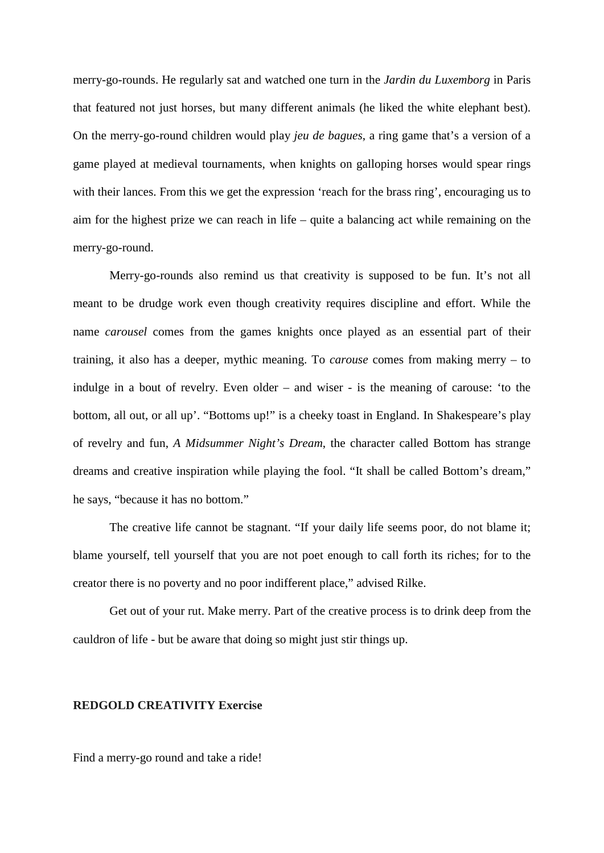merry-go-rounds. He regularly sat and watched one turn in the *Jardin du Luxemborg* in Paris that featured not just horses, but many different animals (he liked the white elephant best). On the merry-go-round children would play *jeu de bagues*, a ring game that's a version of a game played at medieval tournaments, when knights on galloping horses would spear rings with their lances. From this we get the expression 'reach for the brass ring', encouraging us to aim for the highest prize we can reach in life – quite a balancing act while remaining on the merry-go-round.

Merry-go-rounds also remind us that creativity is supposed to be fun. It's not all meant to be drudge work even though creativity requires discipline and effort. While the name *carousel* comes from the games knights once played as an essential part of their training, it also has a deeper, mythic meaning. To *carouse* comes from making merry – to indulge in a bout of revelry. Even older – and wiser - is the meaning of carouse: 'to the bottom, all out, or all up'. "Bottoms up!" is a cheeky toast in England. In Shakespeare's play of revelry and fun, *A Midsummer Night's Dream*, the character called Bottom has strange dreams and creative inspiration while playing the fool. "It shall be called Bottom's dream," he says, "because it has no bottom."

The creative life cannot be stagnant. "If your daily life seems poor, do not blame it; blame yourself, tell yourself that you are not poet enough to call forth its riches; for to the creator there is no poverty and no poor indifferent place," advised Rilke.

Get out of your rut. Make merry. Part of the creative process is to drink deep from the cauldron of life - but be aware that doing so might just stir things up.

## **REDGOLD CREATIVITY Exercise**

Find a merry-go round and take a ride!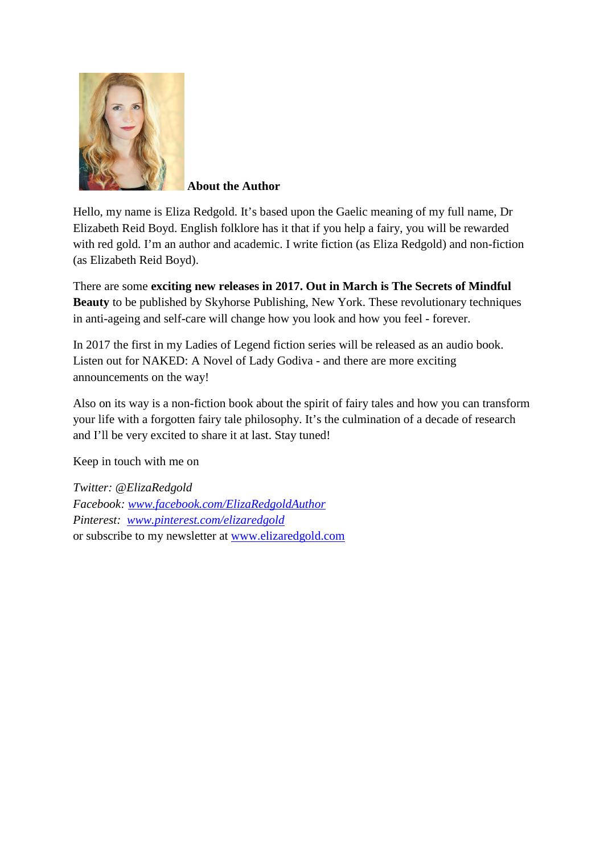

 **About the Author**

Hello, my name is Eliza Redgold. It's based upon the Gaelic meaning of my full name, Dr Elizabeth Reid Boyd. English folklore has it that if you help a fairy, you will be rewarded with red gold. I'm an author and academic. I write fiction (as Eliza Redgold) and non-fiction (as Elizabeth Reid Boyd).

There are some **exciting new releases in 2017. Out in March is [The Secrets of Mindful](http://skyhorsepublishing.com/titles/12157-9781510717695-secrets-of-mindful-beauty)  [Beauty](http://skyhorsepublishing.com/titles/12157-9781510717695-secrets-of-mindful-beauty)** to be published by Skyhorse Publishing, New York. These revolutionary techniques in anti-ageing and self-care will change how you look and how you feel - forever.

In 2017 the first in my Ladies of Legend fiction series will be released as an audio book. Listen out for NAKED: A Novel of Lady Godiva - and there are more exciting announcements on the way!

Also on its way is a non-fiction book about the spirit of fairy tales and how you can transform your life with a forgotten fairy tale philosophy. It's the culmination of a decade of research and I'll be very excited to share it at last. Stay tuned!

Keep in touch with me on

*Twitter: @ElizaRedgold Facebook: [www.facebook.com/ElizaRedgoldAuthor](http://www.facebook.com/ElizaRedgoldAuthor) Pinterest: [www.pinterest.com/elizaredgold](http://www.pinterest.com/elizaredgold)* or subscribe to my newsletter at [www.elizaredgold.com](http://www.elizaredgold.com/)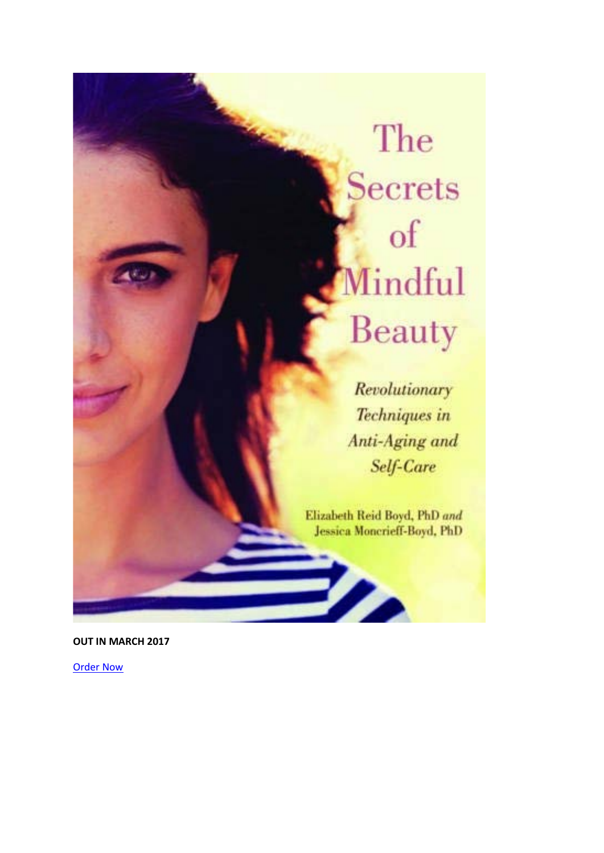## The **Secrets**  $of$ Mindful Beauty

Revolutionary Techniques in Anti-Aging and Self-Care

Elizabeth Reid Boyd, PhD and Jessica Moncrieff-Boyd, PhD

 $\boldsymbol{\mathscr{P}}$ 

**OUT IN MARCH 2017**

[Order Now](https://www.amazon.com/Secrets-Mindful-Beauty-Revolutionary-Techniques/dp/1510717692)